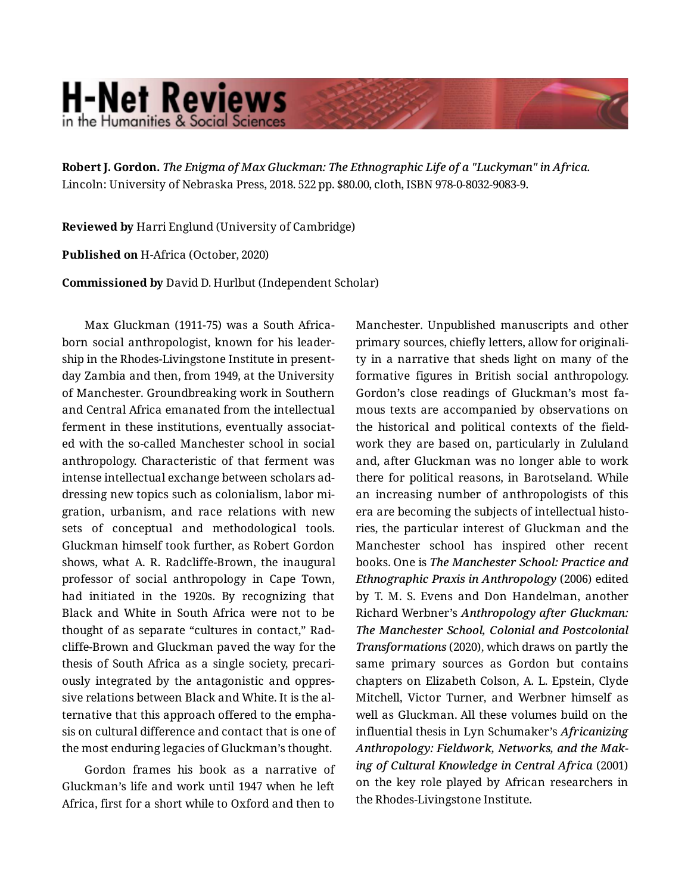## **H-Net Reviews** in the Humanities & Social Scienc

**Robert J. Gordon.** *The Enigma of Max Gluckman: The Ethnographic Life of a "Luckyman" in Africa.*  Lincoln: University of Nebraska Press, 2018. 522 pp. \$80.00, cloth, ISBN 978-0-8032-9083-9.

**Reviewed by** Harri Englund (University of Cambridge)

**Published on** H-Africa (October, 2020)

**Commissioned by** David D. Hurlbut (Independent Scholar)

Max Gluckman (1911-75) was a South Africaborn social anthropologist, known for his leader‐ ship in the Rhodes-Livingstone Institute in presentday Zambia and then, from 1949, at the University of Manchester. Groundbreaking work in Southern and Central Africa emanated from the intellectual ferment in these institutions, eventually associated with the so-called Manchester school in social anthropology. Characteristic of that ferment was intense intellectual exchange between scholars ad‐ dressing new topics such as colonialism, labor mi‐ gration, urbanism, and race relations with new sets of conceptual and methodological tools. Gluckman himself took further, as Robert Gordon shows, what A. R. Radcliffe-Brown, the inaugural professor of social anthropology in Cape Town, had initiated in the 1920s. By recognizing that Black and White in South Africa were not to be thought of as separate "cultures in contact," Rad‐ cliffe-Brown and Gluckman paved the way for the thesis of South Africa as a single society, precari‐ ously integrated by the antagonistic and oppres‐ sive relations between Black and White. It is the al‐ ternative that this approach offered to the empha‐ sis on cultural difference and contact that is one of the most enduring legacies of Gluckman's thought.

Gordon frames his book as a narrative of Gluckman's life and work until 1947 when he left Africa, first for a short while to Oxford and then to Manchester. Unpublished manuscripts and other primary sources, chiefly letters, allow for originali‐ ty in a narrative that sheds light on many of the formative figures in British social anthropology. Gordon's close readings of Gluckman's most fa‐ mous texts are accompanied by observations on the historical and political contexts of the field‐ work they are based on, particularly in Zululand and, after Gluckman was no longer able to work there for political reasons, in Barotseland. While an increasing number of anthropologists of this era are becoming the subjects of intellectual histo‐ ries, the particular interest of Gluckman and the Manchester school has inspired other recent books. One is *The Manchester School: Practice and Ethnographic Praxis in Anthropology* (2006) edited by T. M. S. Evens and Don Handelman, another Richard Werbner's *Anthropology after Gluckman: The Manchester School, Colonial and Postcolonial Transformations* (2020), which draws on partly the same primary sources as Gordon but contains chapters on Elizabeth Colson, A. L. Epstein, Clyde Mitchell, Victor Turner, and Werbner himself as well as Gluckman. All these volumes build on the influential thesis in Lyn Schumaker's *Africanizing Anthropology: Fieldwork, Networks, and the Mak‐ ing of Cultural Knowledge in Central Africa* (2001) on the key role played by African researchers in the Rhodes-Livingstone Institute.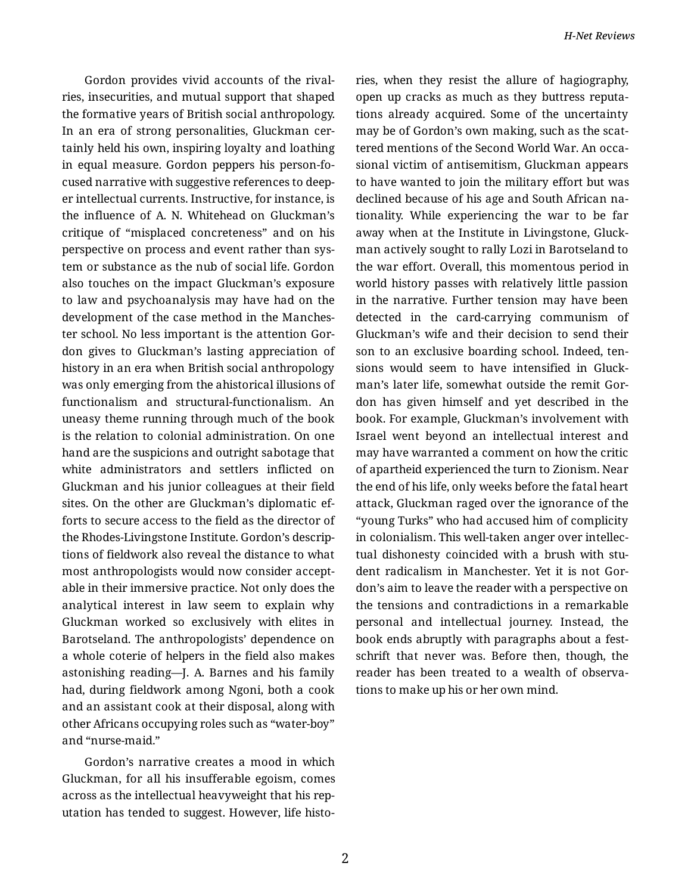Gordon provides vivid accounts of the rival‐ ries, insecurities, and mutual support that shaped the formative years of British social anthropology. In an era of strong personalities, Gluckman cer‐ tainly held his own, inspiring loyalty and loathing in equal measure. Gordon peppers his person-fo‐ cused narrative with suggestive references to deep‐ er intellectual currents. Instructive, for instance, is the influence of A. N. Whitehead on Gluckman's critique of "misplaced concreteness" and on his perspective on process and event rather than sys‐ tem or substance as the nub of social life. Gordon also touches on the impact Gluckman's exposure to law and psychoanalysis may have had on the development of the case method in the Manches‐ ter school. No less important is the attention Gor‐ don gives to Gluckman's lasting appreciation of history in an era when British social anthropology was only emerging from the ahistorical illusions of functionalism and structural-functionalism. An uneasy theme running through much of the book is the relation to colonial administration. On one hand are the suspicions and outright sabotage that white administrators and settlers inflicted on Gluckman and his junior colleagues at their field sites. On the other are Gluckman's diplomatic ef‐ forts to secure access to the field as the director of the Rhodes-Livingstone Institute. Gordon's descrip‐ tions of fieldwork also reveal the distance to what most anthropologists would now consider accept‐ able in their immersive practice. Not only does the analytical interest in law seem to explain why Gluckman worked so exclusively with elites in Barotseland. The anthropologists' dependence on a whole coterie of helpers in the field also makes astonishing reading—J. A. Barnes and his family had, during fieldwork among Ngoni, both a cook and an assistant cook at their disposal, along with other Africans occupying roles such as "water-boy" and "nurse-maid."

Gordon's narrative creates a mood in which Gluckman, for all his insufferable egoism, comes across as the intellectual heavyweight that his rep‐ utation has tended to suggest. However, life histo‐ ries, when they resist the allure of hagiography, open up cracks as much as they buttress reputa‐ tions already acquired. Some of the uncertainty may be of Gordon's own making, such as the scat‐ tered mentions of the Second World War. An occa‐ sional victim of antisemitism, Gluckman appears to have wanted to join the military effort but was declined because of his age and South African na‐ tionality. While experiencing the war to be far away when at the Institute in Livingstone, Gluck‐ man actively sought to rally Lozi in Barotseland to the war effort. Overall, this momentous period in world history passes with relatively little passion in the narrative. Further tension may have been detected in the card-carrying communism of Gluckman's wife and their decision to send their son to an exclusive boarding school. Indeed, tensions would seem to have intensified in Gluck‐ man's later life, somewhat outside the remit Gor‐ don has given himself and yet described in the book. For example, Gluckman's involvement with Israel went beyond an intellectual interest and may have warranted a comment on how the critic of apartheid experienced the turn to Zionism. Near the end of his life, only weeks before the fatal heart attack, Gluckman raged over the ignorance of the "young Turks" who had accused him of complicity in colonialism. This well-taken anger over intellec‐ tual dishonesty coincided with a brush with stu‐ dent radicalism in Manchester. Yet it is not Gor‐ don's aim to leave the reader with a perspective on the tensions and contradictions in a remarkable personal and intellectual journey. Instead, the book ends abruptly with paragraphs about a fest‐ schrift that never was. Before then, though, the reader has been treated to a wealth of observa‐ tions to make up his or her own mind.